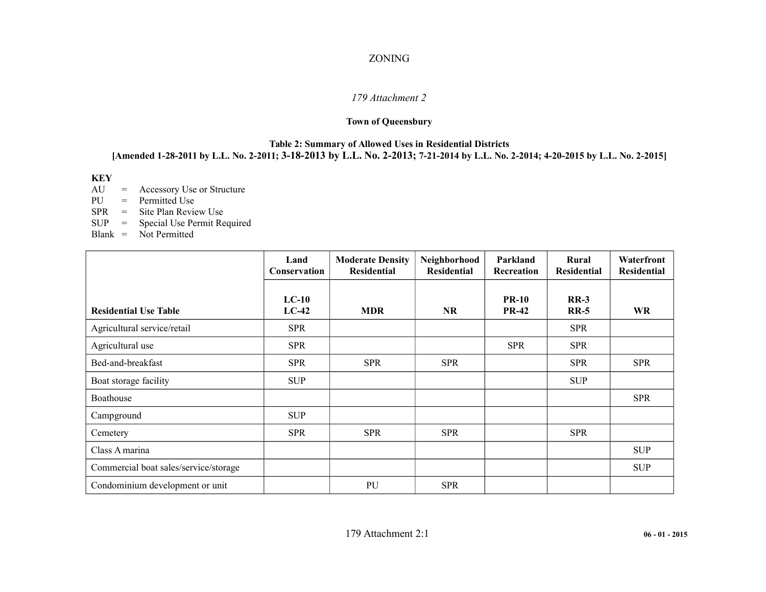## ZONING

## *179 Attachment 2*

# **Town of Queensbury**

#### **Table 2: Summary of Allowed Uses in Residential Districts [Amended 1-28-2011 by L.L. No. 2-2011; 3-18-2013 by L.L. No. 2-2013; 7-21-2014 by L.L. No. 2-2014; 4-20-2015 by L.L. No. 2-2015]**

## **KEY**

AU = Accessory Use or Structure

PU = Permitted Use

SPR = Site Plan Review Use<br>SUP = Special Use Permit Re

Special Use Permit Required

Blank = Not Permitted

|                                       | Land<br>Conservation | <b>Moderate Density</b><br><b>Residential</b> | Neighborhood<br><b>Residential</b> | Parkland<br>Recreation       | Rural<br><b>Residential</b> | Waterfront<br><b>Residential</b> |
|---------------------------------------|----------------------|-----------------------------------------------|------------------------------------|------------------------------|-----------------------------|----------------------------------|
| <b>Residential Use Table</b>          | $LC-10$<br>$LC-42$   | <b>MDR</b>                                    | <b>NR</b>                          | <b>PR-10</b><br><b>PR-42</b> | $RR-3$<br>$RR-5$            | <b>WR</b>                        |
| Agricultural service/retail           | <b>SPR</b>           |                                               |                                    |                              | <b>SPR</b>                  |                                  |
| Agricultural use                      | <b>SPR</b>           |                                               |                                    | <b>SPR</b>                   | <b>SPR</b>                  |                                  |
| Bed-and-breakfast                     | <b>SPR</b>           | <b>SPR</b>                                    | <b>SPR</b>                         |                              | <b>SPR</b>                  | <b>SPR</b>                       |
| Boat storage facility                 | <b>SUP</b>           |                                               |                                    |                              | <b>SUP</b>                  |                                  |
| Boathouse                             |                      |                                               |                                    |                              |                             | <b>SPR</b>                       |
| Campground                            | <b>SUP</b>           |                                               |                                    |                              |                             |                                  |
| Cemetery                              | <b>SPR</b>           | <b>SPR</b>                                    | <b>SPR</b>                         |                              | <b>SPR</b>                  |                                  |
| Class A marina                        |                      |                                               |                                    |                              |                             | <b>SUP</b>                       |
| Commercial boat sales/service/storage |                      |                                               |                                    |                              |                             | <b>SUP</b>                       |
| Condominium development or unit       |                      | PU                                            | <b>SPR</b>                         |                              |                             |                                  |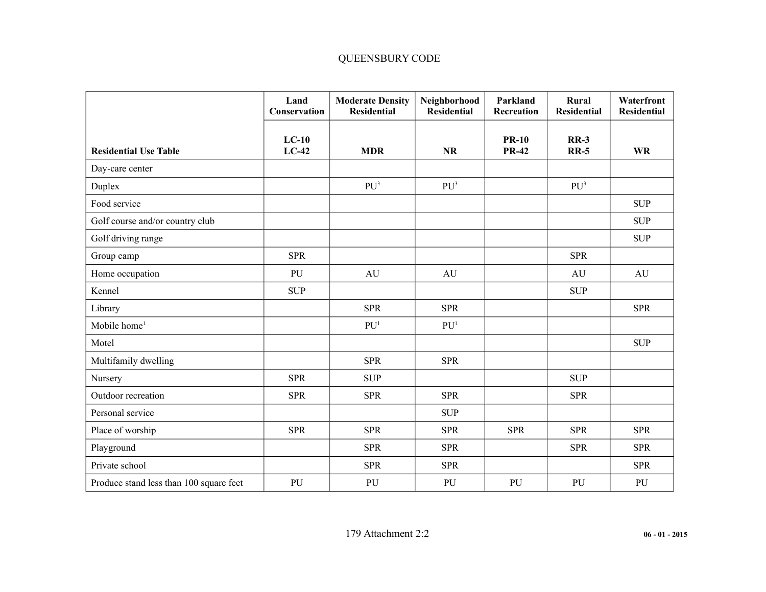# QUEENSBURY CODE

|                                         | Land<br>Conservation | <b>Moderate Density</b><br><b>Residential</b> | Neighborhood<br>Residential | Parkland<br>Recreation       | Rural<br><b>Residential</b> | Waterfront<br><b>Residential</b> |
|-----------------------------------------|----------------------|-----------------------------------------------|-----------------------------|------------------------------|-----------------------------|----------------------------------|
| <b>Residential Use Table</b>            | $LC-10$<br>$LC-42$   | <b>MDR</b>                                    | <b>NR</b>                   | <b>PR-10</b><br><b>PR-42</b> | $RR-3$<br><b>RR-5</b>       | <b>WR</b>                        |
| Day-care center                         |                      |                                               |                             |                              |                             |                                  |
| Duplex                                  |                      | PU <sup>3</sup>                               | PU <sup>3</sup>             |                              | PU <sup>3</sup>             |                                  |
| Food service                            |                      |                                               |                             |                              |                             | <b>SUP</b>                       |
| Golf course and/or country club         |                      |                                               |                             |                              |                             | <b>SUP</b>                       |
| Golf driving range                      |                      |                                               |                             |                              |                             | <b>SUP</b>                       |
| Group camp                              | <b>SPR</b>           |                                               |                             |                              | <b>SPR</b>                  |                                  |
| Home occupation                         | PU                   | AU                                            | AU                          |                              | AU                          | AU                               |
| Kennel                                  | <b>SUP</b>           |                                               |                             |                              | <b>SUP</b>                  |                                  |
| Library                                 |                      | <b>SPR</b>                                    | <b>SPR</b>                  |                              |                             | <b>SPR</b>                       |
| Mobile home <sup>1</sup>                |                      | PU <sup>1</sup>                               | PU <sup>1</sup>             |                              |                             |                                  |
| Motel                                   |                      |                                               |                             |                              |                             | <b>SUP</b>                       |
| Multifamily dwelling                    |                      | <b>SPR</b>                                    | <b>SPR</b>                  |                              |                             |                                  |
| Nursery                                 | <b>SPR</b>           | <b>SUP</b>                                    |                             |                              | <b>SUP</b>                  |                                  |
| Outdoor recreation                      | <b>SPR</b>           | <b>SPR</b>                                    | <b>SPR</b>                  |                              | <b>SPR</b>                  |                                  |
| Personal service                        |                      |                                               | <b>SUP</b>                  |                              |                             |                                  |
| Place of worship                        | <b>SPR</b>           | <b>SPR</b>                                    | <b>SPR</b>                  | <b>SPR</b>                   | <b>SPR</b>                  | <b>SPR</b>                       |
| Playground                              |                      | <b>SPR</b>                                    | <b>SPR</b>                  |                              | <b>SPR</b>                  | <b>SPR</b>                       |
| Private school                          |                      | <b>SPR</b>                                    | <b>SPR</b>                  |                              |                             | <b>SPR</b>                       |
| Produce stand less than 100 square feet | PU                   | PU                                            | PU                          | PU                           | PU                          | PU                               |